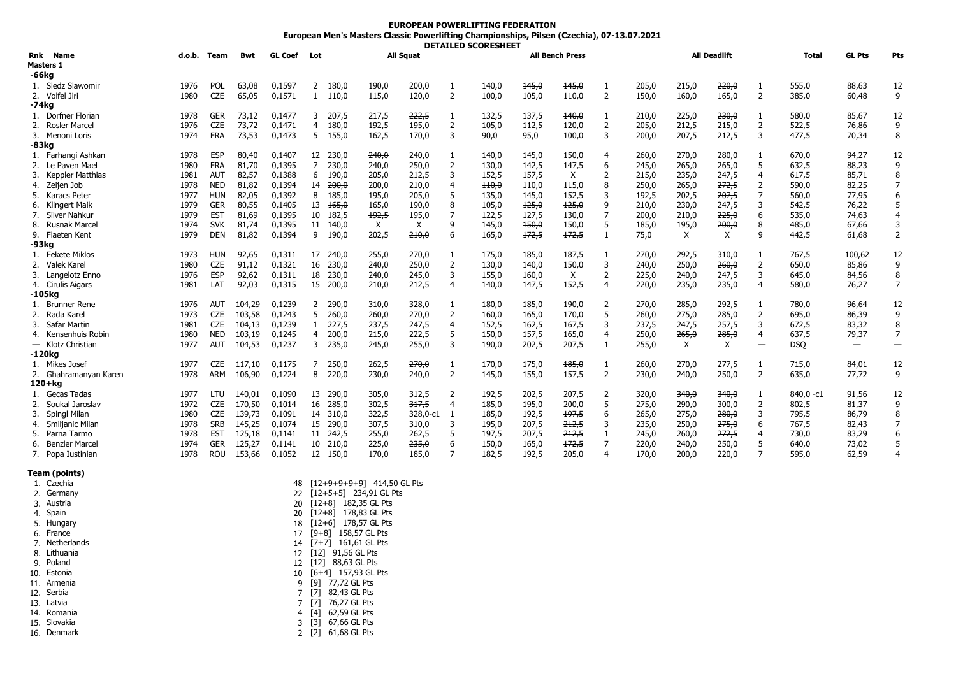## **EUROPEAN POWERLIFTING FEDERATION European Men's Masters Classic Powerlifting Championships, Pilsen (Czechia), 07-13.07.2021 DETAILED SCORESHEET**

| Rnk Name                    |      | d.o.b. Team | Bwt    | <b>GL Coef</b> Lot |                |                  |       | <b>All Squat</b> |                |       |       | <b>All Bench Press</b> |                |       |       | <b>All Deadlift</b> |                | <b>Total</b> | <b>GL Pts</b>            | Pts |
|-----------------------------|------|-------------|--------|--------------------|----------------|------------------|-------|------------------|----------------|-------|-------|------------------------|----------------|-------|-------|---------------------|----------------|--------------|--------------------------|-----|
| <b>Masters 1</b>            |      |             |        |                    |                |                  |       |                  |                |       |       |                        |                |       |       |                     |                |              |                          |     |
| -66kg                       |      |             |        |                    |                |                  |       |                  |                |       |       |                        |                |       |       |                     |                |              |                          |     |
| 1. Sledz Slawomir           | 1976 | <b>POL</b>  | 63,08  | 0,1597             | 2              | 180,0            | 190,0 | 200,0            | 1              | 140,0 | 145,0 | 145,0                  | -1             | 205,0 | 215,0 | 220,0               |                | 555,0        | 88,63                    | 12  |
| 2. Volfel Jiri              | 1980 | <b>CZE</b>  | 65,05  | 0,1571             | $\mathbf{1}$   | 110.0            | 115,0 | 120,0            | 2              | 100.0 | 105,0 | 440,0                  | 2              | 150,0 | 160,0 | 165,0               | 2              | 385.0        | 60,48                    | 9   |
| -74kg                       |      |             |        |                    |                |                  |       |                  |                |       |       |                        |                |       |       |                     |                |              |                          |     |
| 1. Dorfner Florian          | 1978 | <b>GER</b>  | 73,12  | 0,1477             | 3              | 207,5            | 217,5 | 222,5            | -1             | 132,5 | 137,5 | 140,0                  | 1              | 210,0 | 225,0 | 230,0               |                | 580,0        | 85,67                    | 12  |
| <b>Rosler Marcel</b><br>2.  | 1976 | <b>CZE</b>  | 73,72  | 0,1471             | 4              | 180,0            | 192,5 | 195,0            | $\overline{2}$ | 105,0 | 112,5 | 420,0                  | $\overline{2}$ | 205,0 | 212,5 | 215,0               | 2              | 522,5        | 76,86                    | 9   |
| 3. Menoni Loris             | 1974 | <b>FRA</b>  | 73,53  | 0,1473             | 5              | 155,0            | 162,5 | 170,0            | 3              | 90,0  | 95,0  | 400,0                  | 3              | 200,0 | 207,5 | 212,5               | 3              | 477,5        | 70,34                    | 8   |
| -83kg                       |      |             |        |                    |                |                  |       |                  |                |       |       |                        |                |       |       |                     |                |              |                          |     |
| 1. Farhangi Ashkan          | 1978 | <b>ESP</b>  | 80,40  | 0,1407             |                | 12 230,0         | 240,0 | 240,0            |                | 140,0 | 145,0 | 150,0                  | 4              | 260,0 | 270,0 | 280,0               |                | 670.0        | 94,27                    | 12  |
| 2. Le Paven Mael            | 1980 | <b>FRA</b>  | 81,70  | 0,1395             | $\overline{7}$ | <del>230,0</del> | 240,0 | 250,0            | 2              | 130,0 | 142,5 | 147,5                  | 6              | 245,0 | 265,0 | 265,0               | 5              | 632,5        | 88,23                    | 9   |
| 3.<br>Keppler Matthias      | 1981 | <b>AUT</b>  | 82,57  | 0,1388             | 6              | 190,0            | 205,0 | 212,5            | 3              | 152,5 | 157,5 | Χ                      | $\overline{2}$ | 215,0 | 235,0 | 247,5               |                | 617,5        | 85,71                    |     |
| Zeijen Job<br>4.            | 1978 | <b>NED</b>  | 81,82  | 0,1394             | 14             | <del>200,0</del> | 200,0 | 210,0            | 4              | 110,0 | 110,0 | 115,0                  | 8              | 250,0 | 265,0 | 272,5               | 2              | 590,0        | 82,25                    |     |
| Karacs Peter                | 1977 | <b>HUN</b>  | 82,05  | 0,1392             | 8              | 185,0            | 195.0 | 205,0            | 5              | 135.0 | 145,0 | 152,5                  | 3              | 192,5 | 202,5 | 207,5               |                | 560.0        | 77,95                    |     |
| 6. Klingert Maik            | 1979 | <b>GER</b>  | 80,55  | 0,1405             |                | 13, 165, 0       | 165,0 | 190,0            | 8              | 105,0 | 125,0 | 125,0                  | 9              | 210,0 | 230,0 | 247,5               | 3              | 542,5        | 76,22                    |     |
| Silver Nahkur               | 1979 | <b>EST</b>  | 81,69  | 0,1395             | 10             | 182,5            | 192,5 | 195,0            |                | 122,5 | 127,5 | 130,0                  | 7              | 200,0 | 210,0 | 225,0               | 6              | 535,0        | 74,63                    |     |
| Rusnak Marcel<br>8.         | 1974 | <b>SVK</b>  | 81,74  | 0,1395             |                | 11 140,0         | Χ     | X                | 9              | 145,0 | 150,0 | 150,0                  | 5              | 185,0 | 195,0 | 200,0               |                | 485,0        | 67,66                    | 3   |
| 9. Flaeten Kent             | 1979 | <b>DEN</b>  | 81,82  | 0,1394             | 9              | 190,0            | 202,5 | 210,0            | 6              | 165,0 | 172,5 | 172,5                  | 1              | 75,0  | X     | X                   |                | 442,5        | 61,68                    | 2   |
| -93kg                       |      |             |        |                    |                |                  |       |                  |                |       |       |                        |                |       |       |                     |                |              |                          |     |
| 1. Fekete Miklos            | 1973 | <b>HUN</b>  | 92,65  | 0,1311             | 17             | 240.0            | 255,0 | 270,0            | 1              | 175,0 | 185,0 | 187,5                  | 1              | 270,0 | 292,5 | 310,0               |                | 767.5        | 100,62                   | 12  |
| Valek Karel                 | 1980 | <b>CZE</b>  | 91,12  | 0,1321             | 16             | 230,0            | 240,0 | 250,0            | 2              | 130,0 | 140,0 | 150,0                  | 3              | 240,0 | 250,0 | 260,0               | 2              | 650,0        | 85,86                    | 9   |
| Langelotz Enno<br>3.        | 1976 | <b>ESP</b>  | 92,62  | 0,1311             | 18             | 230,0            | 240,0 | 245,0            | 3              | 155,0 | 160,0 | Χ                      | 2              | 225,0 | 240,0 | 247,5               | 3              | 645,0        | 84,56                    | 8   |
| 4. Cirulis Aigars           | 1981 | LAT         | 92,03  | 0,1315             | 15             | 200,0            | 210,0 | 212,5            | 4              | 140,0 | 147,5 | 152,5                  | 4              | 220,0 | 235,0 | 235,0               |                | 580,0        | 76,27                    |     |
| -105kg                      |      |             |        |                    |                |                  |       |                  |                |       |       |                        |                |       |       |                     |                |              |                          |     |
| <b>Brunner Rene</b>         | 1976 | AUT         | 104,29 | 0,1239             | 2              | 290,0            | 310,0 | 328,0            |                | 180,0 | 185,0 | 490,0                  | 2              | 270,0 | 285,0 | 292,5               |                | 780.0        | 96,64                    | 12  |
| 2.<br>Rada Karel            | 1973 | <b>CZE</b>  | 103,58 | 0,1243             | 5              | 260,0            | 260,0 | 270,0            | $\overline{2}$ | 160,0 | 165,0 | 170,0                  | 5              | 260,0 | 275,0 | 285,0               | $\overline{2}$ | 695,0        | 86,39                    | 9   |
| Safar Martin<br>3.          | 1981 | <b>CZE</b>  | 104,13 | 0,1239             |                | 227,5            | 237,5 | 247,5            | 4              | 152,5 | 162,5 | 167,5                  | 3              | 237,5 | 247,5 | 257,5               | 3              | 672,5        | 83,32                    | 8   |
| 4. Kensenhuis Robin         | 1980 | <b>NED</b>  | 103,19 | 0,1245             | 4              | 200,0            | 215,0 | 222,5            | 5              | 150,0 | 157,5 | 165,0                  | 4              | 250,0 | 265,0 | 285,0               |                | 637,5        | 79,37                    |     |
| - Klotz Christian           | 1977 | AUT         | 104,53 | 0,1237             | 3              | 235,0            | 245,0 | 255,0            | 3              | 190,0 | 202,5 | 207,5                  |                | 255,0 | X     | Χ                   |                | <b>DSQ</b>   | $\overline{\phantom{0}}$ |     |
| -120kg                      |      |             |        |                    |                |                  |       |                  |                |       |       |                        |                |       |       |                     |                |              |                          |     |
| 1. Mikes Josef              | 1977 | <b>CZE</b>  | 117,10 | 0,1175             |                | 250,0            | 262,5 | 270,0            | 1              | 170,0 | 175,0 | 185,0                  | 1              | 260,0 | 270,0 | 277,5               |                | 715,0        | 84,01                    | 12  |
| 2. Ghahramanyan Karen       | 1978 | <b>ARM</b>  | 106,90 | 0,1224             | 8              | 220,0            | 230,0 | 240,0            | 2              | 145,0 | 155,0 | 157,5                  | 2              | 230,0 | 240,0 | 250,0               | 2              | 635,0        | 77,72                    | 9   |
| $120 + kq$                  |      |             |        |                    |                |                  |       |                  |                |       |       |                        |                |       |       |                     |                |              |                          |     |
| Gecas Tadas                 | 1977 | LTU         | 140,01 | 0,1090             |                | 13 290,0         | 305,0 | 312,5            | 2              | 192,5 | 202,5 | 207,5                  | 2              | 320,0 | 340,0 | 340,0               |                | 840,0 -c1    | 91,56                    | 12  |
| Soukal Jaroslav             | 1972 | <b>CZE</b>  | 170,50 | 0,1014             | 16             | 285,0            | 302,5 | 317,5            | 4              | 185,0 | 195,0 | 200,0                  | 5              | 275,0 | 290,0 | 300,0               | 2              | 802,5        | 81,37                    | 9   |
| 3.<br>Spingl Milan          | 1980 | <b>CZE</b>  | 139,73 | 0,1091             | 14             | 310,0            | 322,5 | 328,0-c1         |                | 185,0 | 192,5 | 197,5                  | 6              | 265,0 | 275,0 | 280,0               | 3              | 795,5        | 86,79                    |     |
| Smiljanic Milan<br>4.       | 1978 | <b>SRB</b>  | 145,25 | 0,1074             |                | 15 290,0         | 307,5 | 310,0            | 3              | 195,0 | 207,5 | 212,5                  | 3              | 235,0 | 250,0 | 275,0               |                | 767,5        | 82,43                    |     |
| Parna Tarmo<br>5.           | 1978 | <b>EST</b>  | 125,18 | 0,1141             |                | 11 242,5         | 255,0 | 262,5            | 5              | 197,5 | 207,5 | 212,5                  |                | 245,0 | 260,0 | 272,5               |                | 730,0        | 83,29                    |     |
| <b>Benzler Marcel</b><br>6. | 1974 | <b>GER</b>  | 125,27 | 0,1141             | 10             | 210,0            | 225,0 | 235,0            | 6              | 150,0 | 165,0 | 172,5                  | 7              | 220,0 | 240,0 | 250,0               |                | 640,0        | 73,02                    |     |
| 7. Popa Iustinian           | 1978 | <b>ROU</b>  | 153,66 | 0,1052             | 12             | 150.0            | 170.0 | 185.0            | $\overline{7}$ | 182.5 | 192.5 | 205.0                  | 4              | 170.0 | 200.0 | 220.0               |                | 595,0        | 62,59                    |     |
|                             |      |             |        |                    |                |                  |       |                  |                |       |       |                        |                |       |       |                     |                |              |                          |     |

## **Team (points)**

| 22                                                                       | 48 [12+9+9+9+9] 414,50 GL Pts<br>$[12+5+5]$ 234,91 GL Pts |
|--------------------------------------------------------------------------|-----------------------------------------------------------|
|                                                                          |                                                           |
|                                                                          |                                                           |
|                                                                          | $[12+8]$ 182,35 GL Pts                                    |
| 20                                                                       | [12+8] 178.83 GL Pts                                      |
| 18                                                                       | $[12+6]$ 178,57 GL Pts                                    |
| 17                                                                       | $[9+8]$ 158,57 GL Pts                                     |
| 14                                                                       | $[7+7]$ 161,61 GL Pts                                     |
| 12                                                                       | $[12]$ 91,56 GL Pts                                       |
| 12                                                                       | $[12]$ 88,63 GL Pts                                       |
| 10                                                                       | $[6+4]$ 157,93 GL Pts                                     |
| q                                                                        | [9]<br>77,72 GL Pts                                       |
|                                                                          | 82,43 GL Pts<br>[7]                                       |
|                                                                          | [7]<br>76,27 GL Pts                                       |
| 4                                                                        | [4]<br>62,59 GL Pts                                       |
|                                                                          | 67,66 GL Pts<br>[3]                                       |
|                                                                          | [2]<br>61.68 GL Pts                                       |
| 5. Hungary<br>8. Lithuania<br>11. Armenia<br>14. Romania<br>15. Slovakia | 2. Germany<br>20<br>7. Netherlands<br>16. Denmark         |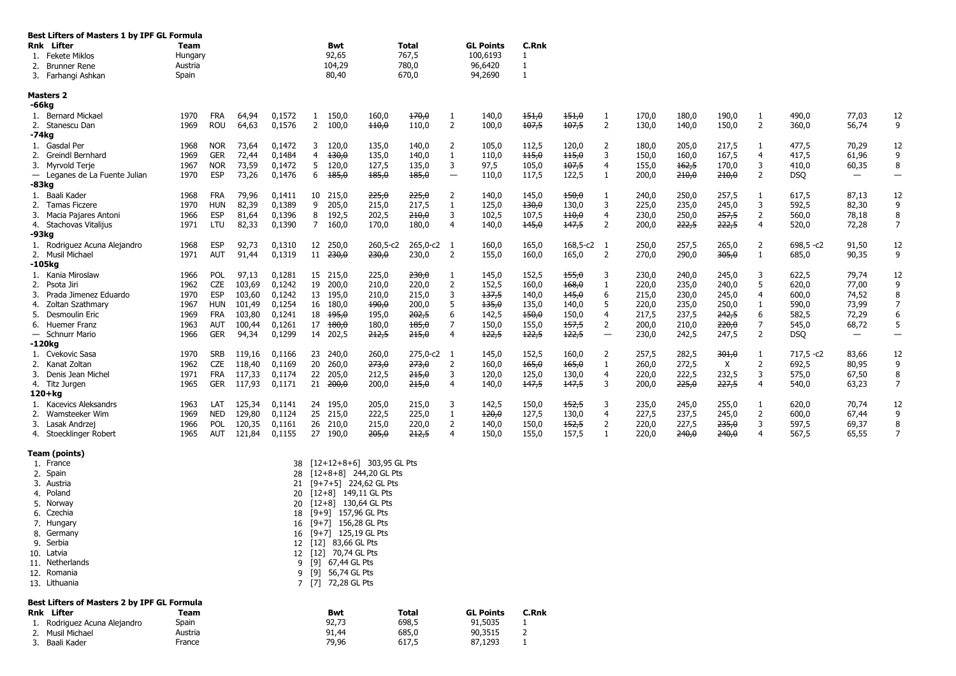| Best Lifters of Masters 1 by IPF GL Formula     |              |                          |                |                  |    |                   |                |                |                          |                  |                |                |                |                |                |                |                |                |                          |                                 |
|-------------------------------------------------|--------------|--------------------------|----------------|------------------|----|-------------------|----------------|----------------|--------------------------|------------------|----------------|----------------|----------------|----------------|----------------|----------------|----------------|----------------|--------------------------|---------------------------------|
| <b>Rnk</b> Lifter                               | <b>Team</b>  |                          |                |                  |    | Bwt               |                | <b>Total</b>   |                          | <b>GL Points</b> | <b>C.Rnk</b>   |                |                |                |                |                |                |                |                          |                                 |
| 1. Fekete Miklos                                | Hungary      |                          |                |                  |    | 92,65             |                | 767,5          |                          | 100,6193         |                |                |                |                |                |                |                |                |                          |                                 |
| 2. Brunner Rene                                 | Austria      |                          |                |                  |    | 104,29            |                | 780,0          |                          | 96,6420          | 1              |                |                |                |                |                |                |                |                          |                                 |
| 3. Farhangi Ashkan                              | Spain        |                          |                |                  |    | 80,40             |                | 670,0          |                          | 94,2690          | $\mathbf{1}$   |                |                |                |                |                |                |                |                          |                                 |
| Masters 2                                       |              |                          |                |                  |    |                   |                |                |                          |                  |                |                |                |                |                |                |                |                |                          |                                 |
| -66kg                                           |              |                          |                |                  |    |                   |                |                |                          |                  |                |                |                |                |                |                |                |                |                          |                                 |
| 1. Bernard Mickael                              | 1970         | <b>FRA</b>               | 64,94          | 0,1572           |    | 150,0             | 160,0          | 170,0          | 1                        | 140,0            | 151,0          | 151,0          | -1             | 170,0          | 180,0          | 190,0          | 1              | 490,0          | 77,03                    | 12                              |
| 2. Stanescu Dan                                 | 1969         | <b>ROU</b>               | 64,63          | 0,1576           | 2  | 100,0             | 440,0          | 110,0          | 2                        | 100,0            | 107,5          | 107,5          | $\overline{2}$ | 130,0          | 140,0          | 150,0          | $\overline{2}$ | 360,0          | 56,74                    | 9                               |
| -74kg                                           |              |                          |                |                  |    |                   |                |                |                          |                  |                |                |                |                |                |                |                |                |                          |                                 |
| 1. Gasdal Per                                   | 1968         | <b>NOR</b>               | 73,64          | 0,1472           | 3  | 120,0             | 135,0          | 140,0          | 2                        | 105,0            | 112,5          | 120,0          | 2              | 180,0          | 205,0          | 217,5          | 1              | 477,5          | 70,29                    | 12                              |
| 2. Greindl Bernhard                             | 1969         | <b>GER</b>               | 72,44          | 0,1484           | 4  | 130,0             | 135,0          | 140,0          | $\mathbf{1}$             | 110,0            | 115,0          | 115,0          | 3              | 150,0          | 160,0          | 167,5          | 4              | 417,5          | 61,96                    | 9                               |
| 3. Myrvold Terie                                | 1967         | <b>NOR</b>               | 73,59          | 0,1472           | 5  | 120,0             | 127,5          | 135,0          | 3                        | 97,5             | 105,0          | 107,5          | 4              | 155,0          | 162,5          | 170,0          | 3              | 410,0          | 60,35                    | 8                               |
| - Leganes de La Fuente Julian                   | 1970         | <b>ESP</b>               | 73,26          | 0,1476           | 6  | 185,0             | 185,0          | 185,0          | $\overline{\phantom{m}}$ | 110,0            | 117,5          | 122,5          | $\mathbf{1}$   | 200,0          | 210,0          | 210,0          | $\overline{2}$ | <b>DSQ</b>     | $\overline{\phantom{0}}$ | $\overline{\phantom{m}}$        |
| -83kg                                           |              |                          |                |                  |    |                   |                |                |                          |                  |                |                |                |                |                |                |                |                |                          |                                 |
| 1. Baali Kader<br>2. Tamas Ficzere              | 1968<br>1970 | <b>FRA</b><br><b>HUN</b> | 79,96<br>82,39 | 0,1411<br>0,1389 | 9  | 10 215,0<br>205,0 | 225,0          | 225,0<br>217,5 | 2<br>$\mathbf{1}$        | 140,0<br>125,0   | 145,0<br>130,0 | 450,0<br>130,0 | -1<br>3        | 240,0<br>225,0 | 250,0<br>235,0 | 257,5<br>245,0 | 1<br>3         | 617,5<br>592,5 | 87,13<br>82,30           | 12<br>9                         |
| 3. Macia Pajares Antoni                         | 1966         | <b>ESP</b>               | 81,64          | 0,1396           | 8  | 192,5             | 215,0<br>202,5 | 210,0          | 3                        | 102,5            | 107,5          | 110,0          | 4              | 230,0          | 250,0          | 257,5          | $\overline{2}$ | 560,0          | 78,18                    | 8                               |
| 4. Stachovas Vitalijus                          | 1971         | LTU                      | 82,33          | 0,1390           | 7  | 160,0             | 170,0          | 180,0          | 4                        | 140,0            | 145,0          | 147,5          | 2              | 200,0          | 222,5          | 222,5          | $\overline{4}$ | 520,0          | 72,28                    | $\overline{7}$                  |
| -93kg                                           |              |                          |                |                  |    |                   |                |                |                          |                  |                |                |                |                |                |                |                |                |                          |                                 |
| 1. Rodriguez Acuna Alejandro                    | 1968         | <b>ESP</b>               | 92,73          | 0,1310           | 12 | 250,0             | 260,5-c2       | 265,0-c2       | -1                       | 160,0            | 165,0          | 168,5-c2       |                | 250,0          | 257,5          | 265,0          | 2              | 698,5 - c2     | 91,50                    | 12                              |
| 2. Musil Michael                                | 1971         | <b>AUT</b>               | 91,44          | 0,1319           | 11 | <del>230,0</del>  | 230,0          | 230,0          | 2                        | 155,0            | 160,0          | 165,0          | 2              | 270,0          | 290,0          | 305,0          | $\mathbf{1}$   | 685,0          | 90,35                    | 9                               |
| $-105$ kg                                       |              |                          |                |                  |    |                   |                |                |                          |                  |                |                |                |                |                |                |                |                |                          |                                 |
| 1. Kania Miroslaw                               | 1966         | <b>POL</b>               | 97,13          | 0,1281           |    | 15 215,0          | 225,0          | 230,0          | 1                        | 145,0            | 152,5          | 155,0          | 3              | 230,0          | 240,0          | 245,0          | 3              | 622,5          | 79,74                    | 12                              |
| 2. Psota Jiri                                   | 1962         | <b>CZE</b>               | 103,69         | 0,1242           | 19 | 200,0             | 210,0          | 220,0          | 2                        | 152,5            | 160,0          | 168,0          | $\mathbf{1}$   | 220,0          | 235,0          | 240,0          | 5              | 620,0          | 77,00                    | 9                               |
| Prada Jimenez Eduardo                           | 1970         | <b>ESP</b>               | 103,60         | 0,1242           |    | 13 195,0          | 210,0          | 215,0          | 3                        | 137,5            | 140,0          | 145,0          | 6              | 215,0          | 230,0          | 245,0          | 4              | 600,0          | 74,52                    | 8                               |
| Zoltan Szathmary                                | 1967         | <b>HUN</b>               | 101,49         | 0,1254           | 16 | 180.0             | 490,0          | 200,0          | 5                        | 135,0            | 135,0          | 140,0          | 5              | 220,0          | 235,0          | 250,0          | 1              | 590,0          | 73,99                    | $\overline{7}$                  |
| Desmoulin Eric                                  | 1969         | <b>FRA</b>               | 103,80         | 0,1241           | 18 | <del>195,0</del>  | 195,0          | 202,5          | 6                        | 142,5            | 450,0          | 150,0          | 4              | 217,5          | 237,5          | 242,5          | 6              | 582,5          | 72,29                    | 6                               |
| Huemer Franz<br>6.                              | 1963         | <b>AUT</b>               | 100,44         | 0,1261           | 17 | 180,0             | 180,0          | 185,0          | $\overline{7}$           | 150,0            | 155,0          | 157,5          | $\overline{2}$ | 200,0          | 210,0          | 220,0          | 7              | 545,0          | 68,72                    | 5                               |
| Schnurr Mario<br>$\qquad \qquad \longleftarrow$ | 1966         | <b>GER</b>               | 94,34          | 0,1299           | 14 | 202,5             | 212,5          | 215,0          | $\overline{4}$           | 122,5            | 122,5          | 122,5          |                | 230,0          | 242,5          | 247,5          | $\overline{2}$ | <b>DSQ</b>     | $\overline{\phantom{m}}$ | $\overbrace{\phantom{1232211}}$ |
| -120kg                                          |              |                          |                |                  |    |                   |                |                |                          |                  |                |                |                |                |                |                |                |                |                          |                                 |
| 1. Cvekovic Sasa                                | 1970         | <b>SRB</b>               | 119,16         | 0,1166           | 23 | 240,0             | 260,0          | 275,0-c2       | -1                       | 145,0            | 152,5          | 160,0          | 2              | 257,5          | 282,5          | 301,0          | 1              | $717,5 - c2$   | 83,66                    | 12                              |
| 2. Kanat Zoltan                                 | 1962         | <b>CZE</b>               | 118,40         | 0,1169           | 20 | 260,0             | 273,0          | 273,0          | 2                        | 160,0            | 165,0          | 165,0          | 1              | 260,0          | 272,5          | X              | $\overline{2}$ | 692,5          | 80,95                    | 9                               |
| 3. Denis Jean Michel                            | 1971         | <b>FRA</b>               | 117,33         | 0,1174           | 22 | 205,0             | 212,5          | 215,0          | 3                        | 120,0            | 125,0          | 130,0          | $\overline{4}$ | 220,0          | 222,5          | 232,5          | 3              | 575,0          | 67,50                    | 8                               |
| 4. Titz Jurgen                                  | 1965         | <b>GER</b>               | 117,93         | 0,1171           | 21 | <del>200,0</del>  | 200,0          | 215,0          | 4                        | 140,0            | 147,5          | 147,5          | 3              | 200,0          | 225,0          | 227,5          | $\overline{4}$ | 540,0          | 63,23                    | $\overline{7}$                  |
| $120+ka$                                        |              |                          |                |                  |    |                   |                |                |                          |                  |                |                |                |                |                |                |                |                |                          |                                 |
| 1. Kacevics Aleksandrs                          | 1963         | LAT                      | 125,34         | 0,1141           |    | 24 195,0          | 205,0          | 215,0          | 3                        | 142,5            | 150,0          | 152,5          | 3              | 235,0          | 245,0          | 255,0          | 1              | 620.0          | 70,74                    | 12                              |
| 2. Wamsteeker Wim                               | 1969         | <b>NED</b>               | 129,80         | 0,1124           | 25 | 215,0             | 222,5          | 225,0          | 1                        | 120,0            | 127,5          | 130,0          | $\overline{4}$ | 227,5          | 237,5          | 245,0          | $\overline{2}$ | 600,0          | 67,44                    | 9                               |
| Lasak Andrzei                                   | 1966         | POL                      | 120,35         | 0,1161           | 26 | 210,0             | 215,0          | 220,0          | 2                        | 140,0            | 150,0          | 152,5          | $\overline{2}$ | 220,0          | 227,5          | 235,0          | 3              | 597,5          | 69,37                    | 8                               |
| 4. Stoecklinger Robert                          | 1965         | <b>AUT</b>               | 121,84         | 0,1155           | 27 | 190,0             | 205,0          | 212,5          | 4                        | 150,0            | 155,0          | 157,5          |                | 220,0          | 240,0          | 240,0          | 4              | 567,5          | 65,55                    | $\overline{7}$                  |
|                                                 |              |                          |                |                  |    |                   |                |                |                          |                  |                |                |                |                |                |                |                |                |                          |                                 |

## **Team (points)**

|    | 1. France                                          |         | 38 | $[12+12+8+6]$ 303,95 GL Pts |       |                  |              |
|----|----------------------------------------------------|---------|----|-----------------------------|-------|------------------|--------------|
|    | 2. Spain                                           |         | 28 | $[12+8+8]$ 244,20 GL Pts    |       |                  |              |
|    | 3. Austria                                         |         | 21 | $[9+7+5]$ 224,62 GL Pts     |       |                  |              |
|    | 4. Poland                                          |         | 20 | $[12+8]$ 149,11 GL Pts      |       |                  |              |
|    | 5. Norway                                          |         | 20 | $[12+8]$ 130,64 GL Pts      |       |                  |              |
|    | 6. Czechia                                         |         | 18 | $[9+9]$ 157,96 GL Pts       |       |                  |              |
|    | 7. Hungary                                         |         | 16 | $[9+7]$ 156,28 GL Pts       |       |                  |              |
|    | 8. Germany                                         |         | 16 | $[9+7]$ 125,19 GL Pts       |       |                  |              |
|    | 9. Serbia                                          |         | 12 | [12] 83,66 GL Pts           |       |                  |              |
|    | 10. Latvia                                         |         | 12 | $[12]$<br>70,74 GL Pts      |       |                  |              |
|    | 11. Netherlands                                    |         | 9  | 67,44 GL Pts<br>[9]         |       |                  |              |
|    | 12. Romania                                        |         | 9  | [9]<br>56,74 GL Pts         |       |                  |              |
|    | 13. Lithuania                                      |         |    | 72,28 GL Pts<br>[7]         |       |                  |              |
|    | <b>Best Lifters of Masters 2 by IPF GL Formula</b> |         |    |                             |       |                  |              |
|    | <b>Rnk</b> Lifter                                  | Team    |    | Bwt                         | Total | <b>GL Points</b> | <b>C.Rnk</b> |
|    | 1. Rodriguez Acuna Alejandro                       | Spain   |    | 92,73                       | 698,5 | 91,5035          |              |
|    | Musil Michael                                      | Austria |    | 91,44                       | 685,0 | 90,3515          | 2            |
| 3. | Baali Kader                                        | France  |    | 79,96                       | 617,5 | 87,1293          |              |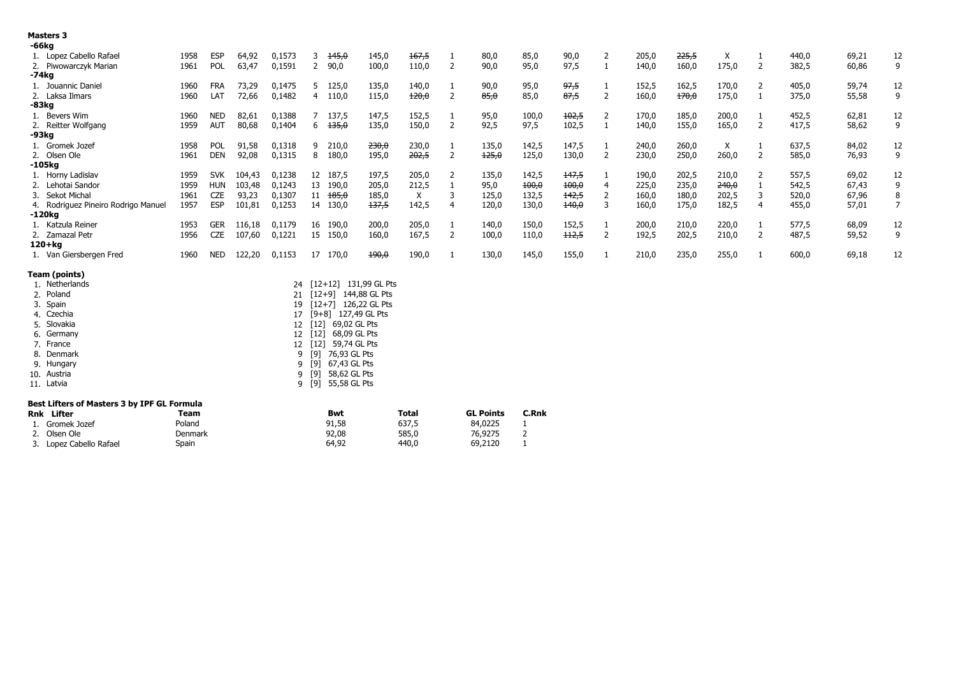| <b>Masters 3</b><br>-66kg           |      |            |        |        |    |                          |       |       |                |       |       |         |   |       |       |       |                |       |       |    |
|-------------------------------------|------|------------|--------|--------|----|--------------------------|-------|-------|----------------|-------|-------|---------|---|-------|-------|-------|----------------|-------|-------|----|
| 1. Lopez Cabello Rafael             | 1958 | <b>ESP</b> | 64,92  | 0,1573 |    | 145,0                    | 145,0 | 167,5 |                | 80,0  | 85,0  | 90,0    | 2 | 205,0 | 225,5 | X     |                | 440,0 | 69,21 | 12 |
| 2. Piwowarczyk Marian               | 1961 | POL        | 63,47  | 0,1591 |    | 90,0                     | 100,0 | 110,0 | $\overline{2}$ | 90,0  | 95,0  | 97,5    |   | 140,0 | 160,0 | 175,0 | $\overline{2}$ | 382,5 | 60,86 | 9  |
| -74kg                               |      |            |        |        |    |                          |       |       |                |       |       |         |   |       |       |       |                |       |       |    |
| 1. Jouannic Daniel                  | 1960 | <b>FRA</b> | 73,29  | 0,1475 |    | 5 125,0                  | 135,0 | 140,0 |                | 90,0  | 95,0  | 97,5    |   | 152,5 | 162,5 | 170,0 |                | 405,0 | 59,74 | 12 |
| 2. Laksa Ilmars                     | 1960 | LAT        | 72,66  | 0,1482 | 4  | 110,0                    | 115,0 | 120,0 |                | 85,0  | 85,0  | 87,5    |   | 160,0 | 170,0 | 175,0 |                | 375,0 | 55,58 | 9  |
| -83kg                               |      |            |        |        |    |                          |       |       |                |       |       |         |   |       |       |       |                |       |       |    |
| 1. Bevers Wim                       | 1960 | <b>NED</b> | 82,61  | 0,1388 |    | 137,5                    | 147,5 | 152,5 |                | 95,0  | 100,0 | 102,5   |   | 170,0 | 185,0 | 200,0 |                | 452,5 | 62,81 | 12 |
| 2. Reitter Wolfgang                 | 1959 | <b>AUT</b> | 80,68  | 0,1404 | 6  | 135,0                    | 135,0 | 150,0 | $\overline{2}$ | 92,5  | 97,5  | 102,5   |   | 140,0 | 155,0 | 165,0 |                | 417,5 | 58,62 | 9  |
| -93kg                               |      |            |        |        |    |                          |       |       |                |       |       |         |   |       |       |       |                |       |       |    |
| 1. Gromek Jozef                     | 1958 | <b>POL</b> | 91,58  | 0,1318 | 9  | 210,0                    | 230,0 | 230,0 |                | 135,0 | 142,5 | 147,5   |   | 240,0 | 260,0 | X     |                | 637,5 | 84,02 | 12 |
| 2. Olsen Ole                        | 1961 | <b>DEN</b> | 92,08  | 0,1315 | 8  | 180,0                    | 195,0 | 202,5 | $\overline{2}$ | 125,0 | 125,0 | 130,0   |   | 230,0 | 250,0 | 260,0 | 2              | 585,0 | 76,93 | 9  |
| -105kg                              |      |            |        |        |    |                          |       |       |                |       |       |         |   |       |       |       |                |       |       |    |
| 1. Horny Ladislav                   | 1959 | <b>SVK</b> | 104,43 | 0,1238 |    | 12 187,5                 | 197,5 | 205,0 |                | 135,0 | 142,5 | 147,5   |   | 190,0 | 202,5 | 210,0 |                | 557,5 | 69,02 | 12 |
| 2. Lehotai Sandor                   | 1959 | <b>HUN</b> | 103,48 | 0,1243 | 13 | 190,0                    | 205,0 | 212,5 |                | 95,0  | 100,0 | 100,0   |   | 225,0 | 235,0 | 240,0 |                | 542,5 | 67,43 | 9  |
| 3. Sekot Michal                     | 1961 | <b>CZE</b> | 93,23  | 0,1307 | 11 | <del>185,0</del>         | 185,0 | X     |                | 125,0 | 132,5 | 142,5   |   | 160,0 | 180,0 | 202,5 |                | 520,0 | 67,96 | 8  |
| 4. Rodriguez Pineiro Rodrigo Manuel | 1957 | <b>ESP</b> | 101,81 | 0,1253 | 14 | 130,0                    | 137,5 | 142,5 | 4              | 120,0 | 130,0 | 140,0   |   | 160,0 | 175,0 | 182,5 |                | 455,0 | 57,01 |    |
| -120kg                              |      |            |        |        |    |                          |       |       |                |       |       |         |   |       |       |       |                |       |       |    |
| 1. Katzula Reiner                   | 1953 | <b>GER</b> | 116,18 | 0,1179 |    | 16 190,0                 | 200,0 | 205,0 |                | 140,0 | 150,0 | 152,5   |   | 200,0 | 210,0 | 220,0 |                | 577,5 | 68,09 | 12 |
| 2. Zamazal Petr                     | 1956 | <b>CZE</b> | 107,60 | 0,1221 | 15 | 150,0                    | 160,0 | 167,5 | 2              | 100,0 | 110,0 | $+12,5$ |   | 192,5 | 202,5 | 210,0 |                | 487,5 | 59,52 | 9  |
| $120+kg$                            |      |            |        |        |    |                          |       |       |                |       |       |         |   |       |       |       |                |       |       |    |
| 1. Van Giersbergen Fred             | 1960 | <b>NED</b> | 122,20 | 0,1153 | 17 | 170,0                    | 490,0 | 190,0 |                | 130,0 | 145,0 | 155,0   |   | 210,0 | 235,0 | 255,0 |                | 600,0 | 69,18 | 12 |
| Team (points)                       |      |            |        |        |    |                          |       |       |                |       |       |         |   |       |       |       |                |       |       |    |
| Natharlande                         |      |            |        |        |    | 24 [12±12] 131 QQ CI D+c |       |       |                |       |       |         |   |       |       |       |                |       |       |    |

| 1. Netherlands |    | 24 [12+12] 131,99 GL Pts |
|----------------|----|--------------------------|
| 2. Poland      |    | 21 [12+9] 144,88 GL Pts  |
| 3. Spain       |    | 19 [12+7] 126,22 GL Pts  |
| 4. Czechia     | 17 | [9+8] 127,49 GL Pts      |
| 5. Slovakia    |    | 12 [12] 69,02 GL Pts     |
| 6. Germany     |    | 12 [12] 68,09 GL Pts     |
| 7. France      |    | 12 [12] 59,74 GL Pts     |
| 8. Denmark     | 9  | [9] 76,93 GL Pts         |
| 9. Hungary     | 9  | [9] 67,43 GL Pts         |
| 10. Austria    | 9  | 58,62 GL Pts<br>[9]      |
| 11. Latvia     | 9  | [9] 55,58 GL Pts         |
|                |    |                          |

|     | Best Lifters of Masters 3 by IPF GL Formula |         |       |       |                  |       |  |  |  |  |  |  |  |
|-----|---------------------------------------------|---------|-------|-------|------------------|-------|--|--|--|--|--|--|--|
| Rnk | Lifter                                      | Team    | Bwt   | Total | <b>GL Points</b> | C.Rnk |  |  |  |  |  |  |  |
|     | 1. Gromek Jozef                             | Poland  | 91,58 | 637.5 | 84,0225          |       |  |  |  |  |  |  |  |
|     | 2. Olsen Ole                                | Denmark | 92,08 | 585.0 | 76.9275          |       |  |  |  |  |  |  |  |
|     | 3. Lopez Cabello Rafael                     | Spain   | 64.92 | 440.0 | 69,2120          |       |  |  |  |  |  |  |  |